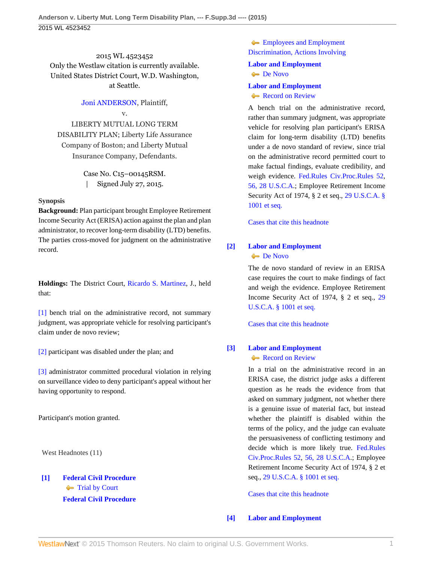## 2015 WL 4523452 Only the Westlaw citation is currently available. United States District Court, W.D. Washington, at Seattle.

### [Joni ANDERSON,](http://www.westlaw.com/Search/Results.html?query=advanced%3a+OAID(5005234655)&saveJuris=False&contentType=BUSINESS-INVESTIGATOR&startIndex=1&contextData=(sc.Default)&categoryPageUrl=Home%2fCompanyInvestigator&originationContext=document&vr=3.0&rs=cblt1.0&transitionType=DocumentItem) Plaintiff,

### v.

LIBERTY MUTUAL LONG TERM DISABILITY PLAN; Liberty Life Assurance Company of Boston; and Liberty Mutual Insurance Company, Defendants.

> Case No. C15–00145RSM. | Signed July 27, 2015.

### **Synopsis**

**Background:** Plan participant brought Employee Retirement Income Security Act (ERISA) action against the plan and plan administrator, to recover long-term disability (LTD) benefits. The parties cross-moved for judgment on the administrative record.

**Holdings:** The District Court, [Ricardo S. Martinez,](http://www.westlaw.com/Link/Document/FullText?findType=h&pubNum=176284&cite=0170130101&originatingDoc=I5f3227e6352611e5b4bafa136b480ad2&refType=RQ&originationContext=document&vr=3.0&rs=cblt1.0&transitionType=DocumentItem&contextData=(sc.UserEnteredCitation)) J., held that:

[\[1\]](#page-0-0) bench trial on the administrative record, not summary judgment, was appropriate vehicle for resolving participant's claim under de novo review;

[\[2\]](#page-1-0) participant was disabled under the plan; and

[\[3\]](#page-1-1) administrator committed procedural violation in relying on surveillance video to deny participant's appeal without her having opportunity to respond.

Participant's motion granted.

West Headnotes (11)

## <span id="page-0-0"></span>**[\[1\]](#page-2-0) [Federal Civil Procedure](http://www.westlaw.com/Browse/Home/KeyNumber/170A/View.html?docGuid=I5f3227e6352611e5b4bafa136b480ad2&originationContext=document&vr=3.0&rs=cblt1.0&transitionType=DocumentItem&contextData=(sc.UserEnteredCitation))** [Trial by Court](http://www.westlaw.com/Browse/Home/KeyNumber/170AXV(K)/View.html?docGuid=I5f3227e6352611e5b4bafa136b480ad2&originationContext=document&vr=3.0&rs=cblt1.0&transitionType=DocumentItem&contextData=(sc.UserEnteredCitation)) **[Federal Civil Procedure](http://www.westlaw.com/Browse/Home/KeyNumber/170A/View.html?docGuid=I5f3227e6352611e5b4bafa136b480ad2&originationContext=document&vr=3.0&rs=cblt1.0&transitionType=DocumentItem&contextData=(sc.UserEnteredCitation))**

**[Employees and Employment](http://www.westlaw.com/Browse/Home/KeyNumber/170Ak2497/View.html?docGuid=I5f3227e6352611e5b4bafa136b480ad2&originationContext=document&vr=3.0&rs=cblt1.0&transitionType=DocumentItem&contextData=(sc.UserEnteredCitation))** [Discrimination, Actions Involving](http://www.westlaw.com/Browse/Home/KeyNumber/170Ak2497/View.html?docGuid=I5f3227e6352611e5b4bafa136b480ad2&originationContext=document&vr=3.0&rs=cblt1.0&transitionType=DocumentItem&contextData=(sc.UserEnteredCitation))

# **[Labor and Employment](http://www.westlaw.com/Browse/Home/KeyNumber/231H/View.html?docGuid=I5f3227e6352611e5b4bafa136b480ad2&originationContext=document&vr=3.0&rs=cblt1.0&transitionType=DocumentItem&contextData=(sc.UserEnteredCitation))**

## **[De Novo](http://www.westlaw.com/Browse/Home/KeyNumber/231Hk686/View.html?docGuid=I5f3227e6352611e5b4bafa136b480ad2&originationContext=document&vr=3.0&rs=cblt1.0&transitionType=DocumentItem&contextData=(sc.UserEnteredCitation))**

### **[Labor and Employment](http://www.westlaw.com/Browse/Home/KeyNumber/231H/View.html?docGuid=I5f3227e6352611e5b4bafa136b480ad2&originationContext=document&vr=3.0&rs=cblt1.0&transitionType=DocumentItem&contextData=(sc.UserEnteredCitation))** [Record on Review](http://www.westlaw.com/Browse/Home/KeyNumber/231Hk691/View.html?docGuid=I5f3227e6352611e5b4bafa136b480ad2&originationContext=document&vr=3.0&rs=cblt1.0&transitionType=DocumentItem&contextData=(sc.UserEnteredCitation))

A bench trial on the administrative record, rather than summary judgment, was appropriate vehicle for resolving plan participant's ERISA claim for long-term disability (LTD) benefits under a de novo standard of review, since trial on the administrative record permitted court to make factual findings, evaluate credibility, and weigh evidence. [Fed.Rules Civ.Proc.Rules 52](http://www.westlaw.com/Link/Document/FullText?findType=L&pubNum=1000600&cite=USFRCPR52&originatingDoc=I5f3227e6352611e5b4bafa136b480ad2&refType=LQ&originationContext=document&vr=3.0&rs=cblt1.0&transitionType=DocumentItem&contextData=(sc.UserEnteredCitation)), [56, 28 U.S.C.A.](http://www.westlaw.com/Link/Document/FullText?findType=L&pubNum=1000600&cite=USFRCPR56&originatingDoc=I5f3227e6352611e5b4bafa136b480ad2&refType=LQ&originationContext=document&vr=3.0&rs=cblt1.0&transitionType=DocumentItem&contextData=(sc.UserEnteredCitation)); Employee Retirement Income Security Act of 1974, § 2 et seq., [29 U.S.C.A. §](http://www.westlaw.com/Link/Document/FullText?findType=L&pubNum=1000546&cite=29USCAS1001&originatingDoc=I5f3227e6352611e5b4bafa136b480ad2&refType=LQ&originationContext=document&vr=3.0&rs=cblt1.0&transitionType=DocumentItem&contextData=(sc.UserEnteredCitation)) [1001 et seq.](http://www.westlaw.com/Link/Document/FullText?findType=L&pubNum=1000546&cite=29USCAS1001&originatingDoc=I5f3227e6352611e5b4bafa136b480ad2&refType=LQ&originationContext=document&vr=3.0&rs=cblt1.0&transitionType=DocumentItem&contextData=(sc.UserEnteredCitation))

[Cases that cite this headnote](http://www.westlaw.com/Link/RelatedInformation/DocHeadnoteLink?docGuid=I5f3227e6352611e5b4bafa136b480ad2&headnoteId=203677388400120150918&originationContext=document&vr=3.0&rs=cblt1.0&transitionType=CitingReferences&contextData=(sc.UserEnteredCitation))

## <span id="page-0-1"></span>**[\[2\]](#page-2-1) [Labor and Employment](http://www.westlaw.com/Browse/Home/KeyNumber/231H/View.html?docGuid=I5f3227e6352611e5b4bafa136b480ad2&originationContext=document&vr=3.0&rs=cblt1.0&transitionType=DocumentItem&contextData=(sc.UserEnteredCitation)) [De Novo](http://www.westlaw.com/Browse/Home/KeyNumber/231Hk686/View.html?docGuid=I5f3227e6352611e5b4bafa136b480ad2&originationContext=document&vr=3.0&rs=cblt1.0&transitionType=DocumentItem&contextData=(sc.UserEnteredCitation))**

The de novo standard of review in an ERISA case requires the court to make findings of fact and weigh the evidence. Employee Retirement Income Security Act of 1974, § 2 et seq., [29](http://www.westlaw.com/Link/Document/FullText?findType=L&pubNum=1000546&cite=29USCAS1001&originatingDoc=I5f3227e6352611e5b4bafa136b480ad2&refType=LQ&originationContext=document&vr=3.0&rs=cblt1.0&transitionType=DocumentItem&contextData=(sc.UserEnteredCitation)) [U.S.C.A. § 1001 et seq.](http://www.westlaw.com/Link/Document/FullText?findType=L&pubNum=1000546&cite=29USCAS1001&originatingDoc=I5f3227e6352611e5b4bafa136b480ad2&refType=LQ&originationContext=document&vr=3.0&rs=cblt1.0&transitionType=DocumentItem&contextData=(sc.UserEnteredCitation))

[Cases that cite this headnote](http://www.westlaw.com/Link/RelatedInformation/DocHeadnoteLink?docGuid=I5f3227e6352611e5b4bafa136b480ad2&headnoteId=203677388400220150918&originationContext=document&vr=3.0&rs=cblt1.0&transitionType=CitingReferences&contextData=(sc.UserEnteredCitation))

## <span id="page-0-2"></span>**[\[3\]](#page-2-2) [Labor and Employment](http://www.westlaw.com/Browse/Home/KeyNumber/231H/View.html?docGuid=I5f3227e6352611e5b4bafa136b480ad2&originationContext=document&vr=3.0&rs=cblt1.0&transitionType=DocumentItem&contextData=(sc.UserEnteredCitation))** [Record on Review](http://www.westlaw.com/Browse/Home/KeyNumber/231Hk691/View.html?docGuid=I5f3227e6352611e5b4bafa136b480ad2&originationContext=document&vr=3.0&rs=cblt1.0&transitionType=DocumentItem&contextData=(sc.UserEnteredCitation))

In a trial on the administrative record in an ERISA case, the district judge asks a different question as he reads the evidence from that asked on summary judgment, not whether there is a genuine issue of material fact, but instead whether the plaintiff is disabled within the terms of the policy, and the judge can evaluate the persuasiveness of conflicting testimony and decide which is more likely true. [Fed.Rules](http://www.westlaw.com/Link/Document/FullText?findType=L&pubNum=1000600&cite=USFRCPR52&originatingDoc=I5f3227e6352611e5b4bafa136b480ad2&refType=LQ&originationContext=document&vr=3.0&rs=cblt1.0&transitionType=DocumentItem&contextData=(sc.UserEnteredCitation)) [Civ.Proc.Rules 52,](http://www.westlaw.com/Link/Document/FullText?findType=L&pubNum=1000600&cite=USFRCPR52&originatingDoc=I5f3227e6352611e5b4bafa136b480ad2&refType=LQ&originationContext=document&vr=3.0&rs=cblt1.0&transitionType=DocumentItem&contextData=(sc.UserEnteredCitation)) [56, 28 U.S.C.A](http://www.westlaw.com/Link/Document/FullText?findType=L&pubNum=1000600&cite=USFRCPR56&originatingDoc=I5f3227e6352611e5b4bafa136b480ad2&refType=LQ&originationContext=document&vr=3.0&rs=cblt1.0&transitionType=DocumentItem&contextData=(sc.UserEnteredCitation)).; Employee Retirement Income Security Act of 1974, § 2 et seq., [29 U.S.C.A. § 1001 et seq.](http://www.westlaw.com/Link/Document/FullText?findType=L&pubNum=1000546&cite=29USCAS1001&originatingDoc=I5f3227e6352611e5b4bafa136b480ad2&refType=LQ&originationContext=document&vr=3.0&rs=cblt1.0&transitionType=DocumentItem&contextData=(sc.UserEnteredCitation))

[Cases that cite this headnote](http://www.westlaw.com/Link/RelatedInformation/DocHeadnoteLink?docGuid=I5f3227e6352611e5b4bafa136b480ad2&headnoteId=203677388400320150918&originationContext=document&vr=3.0&rs=cblt1.0&transitionType=CitingReferences&contextData=(sc.UserEnteredCitation))

## <span id="page-0-3"></span>**[\[4\]](#page-6-0) [Labor and Employment](http://www.westlaw.com/Browse/Home/KeyNumber/231H/View.html?docGuid=I5f3227e6352611e5b4bafa136b480ad2&originationContext=document&vr=3.0&rs=cblt1.0&transitionType=DocumentItem&contextData=(sc.UserEnteredCitation))**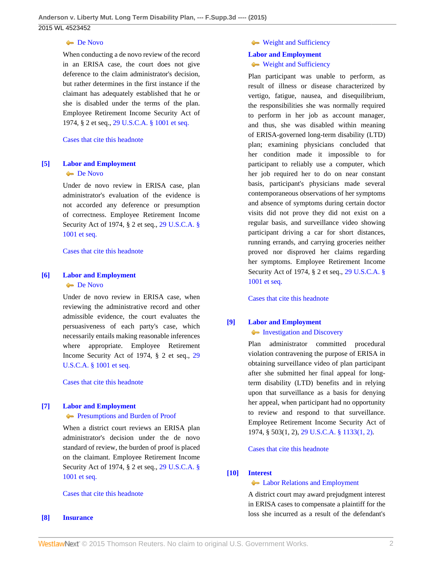### **[De Novo](http://www.westlaw.com/Browse/Home/KeyNumber/231Hk686/View.html?docGuid=I5f3227e6352611e5b4bafa136b480ad2&originationContext=document&vr=3.0&rs=cblt1.0&transitionType=DocumentItem&contextData=(sc.UserEnteredCitation))**

When conducting a de novo review of the record in an ERISA case, the court does not give deference to the claim administrator's decision, but rather determines in the first instance if the claimant has adequately established that he or she is disabled under the terms of the plan. Employee Retirement Income Security Act of 1974, § 2 et seq., [29 U.S.C.A. § 1001 et seq.](http://www.westlaw.com/Link/Document/FullText?findType=L&pubNum=1000546&cite=29USCAS1001&originatingDoc=I5f3227e6352611e5b4bafa136b480ad2&refType=LQ&originationContext=document&vr=3.0&rs=cblt1.0&transitionType=DocumentItem&contextData=(sc.UserEnteredCitation))

### [Cases that cite this headnote](http://www.westlaw.com/Link/RelatedInformation/DocHeadnoteLink?docGuid=I5f3227e6352611e5b4bafa136b480ad2&headnoteId=203677388400420150918&originationContext=document&vr=3.0&rs=cblt1.0&transitionType=CitingReferences&contextData=(sc.UserEnteredCitation))

### <span id="page-1-2"></span>**[\[5\]](#page-6-1) [Labor and Employment](http://www.westlaw.com/Browse/Home/KeyNumber/231H/View.html?docGuid=I5f3227e6352611e5b4bafa136b480ad2&originationContext=document&vr=3.0&rs=cblt1.0&transitionType=DocumentItem&contextData=(sc.UserEnteredCitation)) [De Novo](http://www.westlaw.com/Browse/Home/KeyNumber/231Hk686/View.html?docGuid=I5f3227e6352611e5b4bafa136b480ad2&originationContext=document&vr=3.0&rs=cblt1.0&transitionType=DocumentItem&contextData=(sc.UserEnteredCitation))**

Under de novo review in ERISA case, plan administrator's evaluation of the evidence is not accorded any deference or presumption of correctness. Employee Retirement Income Security Act of 1974, § 2 et seq., [29 U.S.C.A. §](http://www.westlaw.com/Link/Document/FullText?findType=L&pubNum=1000546&cite=29USCAS1001&originatingDoc=I5f3227e6352611e5b4bafa136b480ad2&refType=LQ&originationContext=document&vr=3.0&rs=cblt1.0&transitionType=DocumentItem&contextData=(sc.UserEnteredCitation)) [1001 et seq.](http://www.westlaw.com/Link/Document/FullText?findType=L&pubNum=1000546&cite=29USCAS1001&originatingDoc=I5f3227e6352611e5b4bafa136b480ad2&refType=LQ&originationContext=document&vr=3.0&rs=cblt1.0&transitionType=DocumentItem&contextData=(sc.UserEnteredCitation))

#### [Cases that cite this headnote](http://www.westlaw.com/Link/RelatedInformation/DocHeadnoteLink?docGuid=I5f3227e6352611e5b4bafa136b480ad2&headnoteId=203677388400520150918&originationContext=document&vr=3.0&rs=cblt1.0&transitionType=CitingReferences&contextData=(sc.UserEnteredCitation))

### <span id="page-1-3"></span>**[\[6\]](#page-6-2) [Labor and Employment](http://www.westlaw.com/Browse/Home/KeyNumber/231H/View.html?docGuid=I5f3227e6352611e5b4bafa136b480ad2&originationContext=document&vr=3.0&rs=cblt1.0&transitionType=DocumentItem&contextData=(sc.UserEnteredCitation)) [De Novo](http://www.westlaw.com/Browse/Home/KeyNumber/231Hk686/View.html?docGuid=I5f3227e6352611e5b4bafa136b480ad2&originationContext=document&vr=3.0&rs=cblt1.0&transitionType=DocumentItem&contextData=(sc.UserEnteredCitation))**

Under de novo review in ERISA case, when reviewing the administrative record and other admissible evidence, the court evaluates the persuasiveness of each party's case, which necessarily entails making reasonable inferences where appropriate. Employee Retirement Income Security Act of 1974, § 2 et seq., [29](http://www.westlaw.com/Link/Document/FullText?findType=L&pubNum=1000546&cite=29USCAS1001&originatingDoc=I5f3227e6352611e5b4bafa136b480ad2&refType=LQ&originationContext=document&vr=3.0&rs=cblt1.0&transitionType=DocumentItem&contextData=(sc.UserEnteredCitation)) [U.S.C.A. § 1001 et seq.](http://www.westlaw.com/Link/Document/FullText?findType=L&pubNum=1000546&cite=29USCAS1001&originatingDoc=I5f3227e6352611e5b4bafa136b480ad2&refType=LQ&originationContext=document&vr=3.0&rs=cblt1.0&transitionType=DocumentItem&contextData=(sc.UserEnteredCitation))

[Cases that cite this headnote](http://www.westlaw.com/Link/RelatedInformation/DocHeadnoteLink?docGuid=I5f3227e6352611e5b4bafa136b480ad2&headnoteId=203677388400620150918&originationContext=document&vr=3.0&rs=cblt1.0&transitionType=CitingReferences&contextData=(sc.UserEnteredCitation))

### <span id="page-1-4"></span>**[\[7\]](#page-6-3) [Labor and Employment](http://www.westlaw.com/Browse/Home/KeyNumber/231H/View.html?docGuid=I5f3227e6352611e5b4bafa136b480ad2&originationContext=document&vr=3.0&rs=cblt1.0&transitionType=DocumentItem&contextData=(sc.UserEnteredCitation))**

#### **[Presumptions and Burden of Proof](http://www.westlaw.com/Browse/Home/KeyNumber/231Hk694/View.html?docGuid=I5f3227e6352611e5b4bafa136b480ad2&originationContext=document&vr=3.0&rs=cblt1.0&transitionType=DocumentItem&contextData=(sc.UserEnteredCitation))**

When a district court reviews an ERISA plan administrator's decision under the de novo standard of review, the burden of proof is placed on the claimant. Employee Retirement Income Security Act of 1974, § 2 et seq., [29 U.S.C.A. §](http://www.westlaw.com/Link/Document/FullText?findType=L&pubNum=1000546&cite=29USCAS1001&originatingDoc=I5f3227e6352611e5b4bafa136b480ad2&refType=LQ&originationContext=document&vr=3.0&rs=cblt1.0&transitionType=DocumentItem&contextData=(sc.UserEnteredCitation)) [1001 et seq.](http://www.westlaw.com/Link/Document/FullText?findType=L&pubNum=1000546&cite=29USCAS1001&originatingDoc=I5f3227e6352611e5b4bafa136b480ad2&refType=LQ&originationContext=document&vr=3.0&rs=cblt1.0&transitionType=DocumentItem&contextData=(sc.UserEnteredCitation))

### [Cases that cite this headnote](http://www.westlaw.com/Link/RelatedInformation/DocHeadnoteLink?docGuid=I5f3227e6352611e5b4bafa136b480ad2&headnoteId=203677388400720150918&originationContext=document&vr=3.0&rs=cblt1.0&transitionType=CitingReferences&contextData=(sc.UserEnteredCitation))

<span id="page-1-0"></span>**[\[8\]](#page-7-0) [Insurance](http://www.westlaw.com/Browse/Home/KeyNumber/217/View.html?docGuid=I5f3227e6352611e5b4bafa136b480ad2&originationContext=document&vr=3.0&rs=cblt1.0&transitionType=DocumentItem&contextData=(sc.UserEnteredCitation))**

**[Weight and Sufficiency](http://www.westlaw.com/Browse/Home/KeyNumber/217k2578/View.html?docGuid=I5f3227e6352611e5b4bafa136b480ad2&originationContext=document&vr=3.0&rs=cblt1.0&transitionType=DocumentItem&contextData=(sc.UserEnteredCitation))** 

### **[Labor and Employment](http://www.westlaw.com/Browse/Home/KeyNumber/231H/View.html?docGuid=I5f3227e6352611e5b4bafa136b480ad2&originationContext=document&vr=3.0&rs=cblt1.0&transitionType=DocumentItem&contextData=(sc.UserEnteredCitation))** [Weight and Sufficiency](http://www.westlaw.com/Browse/Home/KeyNumber/231Hk629(2)/View.html?docGuid=I5f3227e6352611e5b4bafa136b480ad2&originationContext=document&vr=3.0&rs=cblt1.0&transitionType=DocumentItem&contextData=(sc.UserEnteredCitation))

Plan participant was unable to perform, as result of illness or disease characterized by vertigo, fatigue, nausea, and disequilibrium, the responsibilities she was normally required to perform in her job as account manager, and thus, she was disabled within meaning of ERISA-governed long-term disability (LTD) plan; examining physicians concluded that her condition made it impossible to for participant to reliably use a computer, which her job required her to do on near constant basis, participant's physicians made several contemporaneous observations of her symptoms and absence of symptoms during certain doctor visits did not prove they did not exist on a regular basis, and surveillance video showing participant driving a car for short distances, running errands, and carrying groceries neither proved nor disproved her claims regarding her symptoms. Employee Retirement Income Security Act of 1974, § 2 et seq., [29 U.S.C.A. §](http://www.westlaw.com/Link/Document/FullText?findType=L&pubNum=1000546&cite=29USCAS1001&originatingDoc=I5f3227e6352611e5b4bafa136b480ad2&refType=LQ&originationContext=document&vr=3.0&rs=cblt1.0&transitionType=DocumentItem&contextData=(sc.UserEnteredCitation)) [1001 et seq.](http://www.westlaw.com/Link/Document/FullText?findType=L&pubNum=1000546&cite=29USCAS1001&originatingDoc=I5f3227e6352611e5b4bafa136b480ad2&refType=LQ&originationContext=document&vr=3.0&rs=cblt1.0&transitionType=DocumentItem&contextData=(sc.UserEnteredCitation))

[Cases that cite this headnote](http://www.westlaw.com/Link/RelatedInformation/DocHeadnoteLink?docGuid=I5f3227e6352611e5b4bafa136b480ad2&headnoteId=203677388400820150918&originationContext=document&vr=3.0&rs=cblt1.0&transitionType=CitingReferences&contextData=(sc.UserEnteredCitation))

## <span id="page-1-1"></span>**[\[9\]](#page-7-1) [Labor and Employment](http://www.westlaw.com/Browse/Home/KeyNumber/231H/View.html?docGuid=I5f3227e6352611e5b4bafa136b480ad2&originationContext=document&vr=3.0&rs=cblt1.0&transitionType=DocumentItem&contextData=(sc.UserEnteredCitation)) [Investigation and Discovery](http://www.westlaw.com/Browse/Home/KeyNumber/231Hk616/View.html?docGuid=I5f3227e6352611e5b4bafa136b480ad2&originationContext=document&vr=3.0&rs=cblt1.0&transitionType=DocumentItem&contextData=(sc.UserEnteredCitation))**

Plan administrator committed procedural violation contravening the purpose of ERISA in obtaining surveillance video of plan participant after she submitted her final appeal for longterm disability (LTD) benefits and in relying upon that surveillance as a basis for denying her appeal, when participant had no opportunity to review and respond to that surveillance. Employee Retirement Income Security Act of 1974, § 503(1, 2), [29 U.S.C.A. § 1133\(1, 2\)](http://www.westlaw.com/Link/Document/FullText?findType=L&pubNum=1000546&cite=29USCAS1133&originatingDoc=I5f3227e6352611e5b4bafa136b480ad2&refType=LQ&originationContext=document&vr=3.0&rs=cblt1.0&transitionType=DocumentItem&contextData=(sc.UserEnteredCitation)).

[Cases that cite this headnote](http://www.westlaw.com/Link/RelatedInformation/DocHeadnoteLink?docGuid=I5f3227e6352611e5b4bafa136b480ad2&headnoteId=203677388400920150918&originationContext=document&vr=3.0&rs=cblt1.0&transitionType=CitingReferences&contextData=(sc.UserEnteredCitation))

### <span id="page-1-5"></span>**[\[10\]](#page-7-2) [Interest](http://www.westlaw.com/Browse/Home/KeyNumber/219/View.html?docGuid=I5f3227e6352611e5b4bafa136b480ad2&originationContext=document&vr=3.0&rs=cblt1.0&transitionType=DocumentItem&contextData=(sc.UserEnteredCitation))**

### **Example 2** [Labor Relations and Employment](http://www.westlaw.com/Browse/Home/KeyNumber/219k39(2.40)/View.html?docGuid=I5f3227e6352611e5b4bafa136b480ad2&originationContext=document&vr=3.0&rs=cblt1.0&transitionType=DocumentItem&contextData=(sc.UserEnteredCitation))

A district court may award prejudgment interest in ERISA cases to compensate a plaintiff for the loss she incurred as a result of the defendant's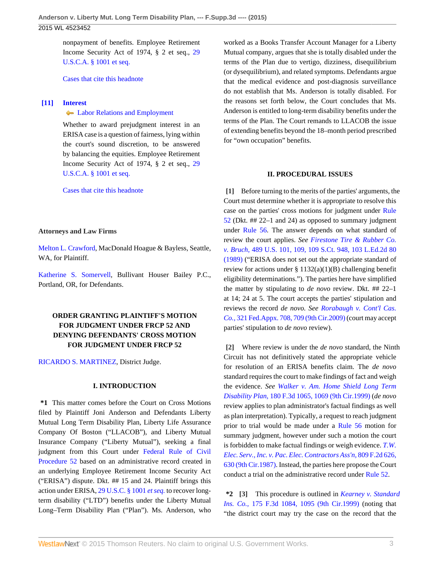## 2015 WL 4523452

nonpayment of benefits. Employee Retirement Income Security Act of 1974, § 2 et seq., [29](http://www.westlaw.com/Link/Document/FullText?findType=L&pubNum=1000546&cite=29USCAS1001&originatingDoc=I5f3227e6352611e5b4bafa136b480ad2&refType=LQ&originationContext=document&vr=3.0&rs=cblt1.0&transitionType=DocumentItem&contextData=(sc.UserEnteredCitation)) [U.S.C.A. § 1001 et seq.](http://www.westlaw.com/Link/Document/FullText?findType=L&pubNum=1000546&cite=29USCAS1001&originatingDoc=I5f3227e6352611e5b4bafa136b480ad2&refType=LQ&originationContext=document&vr=3.0&rs=cblt1.0&transitionType=DocumentItem&contextData=(sc.UserEnteredCitation))

[Cases that cite this headnote](http://www.westlaw.com/Link/RelatedInformation/DocHeadnoteLink?docGuid=I5f3227e6352611e5b4bafa136b480ad2&headnoteId=203677388401020150918&originationContext=document&vr=3.0&rs=cblt1.0&transitionType=CitingReferences&contextData=(sc.UserEnteredCitation))

### <span id="page-2-3"></span>**[\[11\]](#page-7-3) [Interest](http://www.westlaw.com/Browse/Home/KeyNumber/219/View.html?docGuid=I5f3227e6352611e5b4bafa136b480ad2&originationContext=document&vr=3.0&rs=cblt1.0&transitionType=DocumentItem&contextData=(sc.UserEnteredCitation))**

**[Labor Relations and Employment](http://www.westlaw.com/Browse/Home/KeyNumber/219k39(2.40)/View.html?docGuid=I5f3227e6352611e5b4bafa136b480ad2&originationContext=document&vr=3.0&rs=cblt1.0&transitionType=DocumentItem&contextData=(sc.UserEnteredCitation))** 

Whether to award prejudgment interest in an ERISA case is a question of fairness, lying within the court's sound discretion, to be answered by balancing the equities. Employee Retirement Income Security Act of 1974, § 2 et seq., [29](http://www.westlaw.com/Link/Document/FullText?findType=L&pubNum=1000546&cite=29USCAS1001&originatingDoc=I5f3227e6352611e5b4bafa136b480ad2&refType=LQ&originationContext=document&vr=3.0&rs=cblt1.0&transitionType=DocumentItem&contextData=(sc.UserEnteredCitation)) [U.S.C.A. § 1001 et seq.](http://www.westlaw.com/Link/Document/FullText?findType=L&pubNum=1000546&cite=29USCAS1001&originatingDoc=I5f3227e6352611e5b4bafa136b480ad2&refType=LQ&originationContext=document&vr=3.0&rs=cblt1.0&transitionType=DocumentItem&contextData=(sc.UserEnteredCitation))

[Cases that cite this headnote](http://www.westlaw.com/Link/RelatedInformation/DocHeadnoteLink?docGuid=I5f3227e6352611e5b4bafa136b480ad2&headnoteId=203677388401120150918&originationContext=document&vr=3.0&rs=cblt1.0&transitionType=CitingReferences&contextData=(sc.UserEnteredCitation))

#### **Attorneys and Law Firms**

[Melton L. Crawford](http://www.westlaw.com/Link/Document/FullText?findType=h&pubNum=176284&cite=0168090501&originatingDoc=I5f3227e6352611e5b4bafa136b480ad2&refType=RQ&originationContext=document&vr=3.0&rs=cblt1.0&transitionType=DocumentItem&contextData=(sc.UserEnteredCitation)), MacDonald Hoague & Bayless, Seattle, WA, for Plaintiff.

[Katherine S. Somervell,](http://www.westlaw.com/Link/Document/FullText?findType=h&pubNum=176284&cite=0136047901&originatingDoc=I5f3227e6352611e5b4bafa136b480ad2&refType=RQ&originationContext=document&vr=3.0&rs=cblt1.0&transitionType=DocumentItem&contextData=(sc.UserEnteredCitation)) Bullivant Houser Bailey P.C., Portland, OR, for Defendants.

## **ORDER GRANTING PLAINTIFF'S MOTION FOR JUDGMENT UNDER FRCP 52 AND DENYING DEFENDANTS' CROSS MOTION FOR JUDGMENT UNDER FRCP 52**

[RICARDO S. MARTINEZ,](http://www.westlaw.com/Link/Document/FullText?findType=h&pubNum=176284&cite=0170130101&originatingDoc=I5f3227e6352611e5b4bafa136b480ad2&refType=RQ&originationContext=document&vr=3.0&rs=cblt1.0&transitionType=DocumentItem&contextData=(sc.UserEnteredCitation)) District Judge.

### **I. INTRODUCTION**

**\*1** This matter comes before the Court on Cross Motions filed by Plaintiff Joni Anderson and Defendants Liberty Mutual Long Term Disability Plan, Liberty Life Assurance Company Of Boston ("LLACOB"), and Liberty Mutual Insurance Company ("Liberty Mutual"), seeking a final judgment from this Court under [Federal Rule of Civil](http://www.westlaw.com/Link/Document/FullText?findType=L&pubNum=1000600&cite=USFRCPR52&originatingDoc=I5f3227e6352611e5b4bafa136b480ad2&refType=LQ&originationContext=document&vr=3.0&rs=cblt1.0&transitionType=DocumentItem&contextData=(sc.UserEnteredCitation)) [Procedure 52](http://www.westlaw.com/Link/Document/FullText?findType=L&pubNum=1000600&cite=USFRCPR52&originatingDoc=I5f3227e6352611e5b4bafa136b480ad2&refType=LQ&originationContext=document&vr=3.0&rs=cblt1.0&transitionType=DocumentItem&contextData=(sc.UserEnteredCitation)) based on an administrative record created in an underlying Employee Retirement Income Security Act ("ERISA") dispute. Dkt. ## 15 and 24. Plaintiff brings this action under ERISA, [29 U.S.C. § 1001](http://www.westlaw.com/Link/Document/FullText?findType=L&pubNum=1000546&cite=29USCAS1001&originatingDoc=I5f3227e6352611e5b4bafa136b480ad2&refType=LQ&originationContext=document&vr=3.0&rs=cblt1.0&transitionType=DocumentItem&contextData=(sc.UserEnteredCitation)) *et seq.* to recover longterm disability ("LTD") benefits under the Liberty Mutual Long–Term Disability Plan ("Plan"). Ms. Anderson, who

worked as a Books Transfer Account Manager for a Liberty Mutual company, argues that she is totally disabled under the terms of the Plan due to vertigo, dizziness, disequilibrium (or dysequilibrium), and related symptoms. Defendants argue that the medical evidence and post-diagnosis surveillance do not establish that Ms. Anderson is totally disabled. For the reasons set forth below, the Court concludes that Ms. Anderson is entitled to long-term disability benefits under the terms of the Plan. The Court remands to LLACOB the issue of extending benefits beyond the 18–month period prescribed for "own occupation" benefits.

#### **II. PROCEDURAL ISSUES**

<span id="page-2-0"></span>**[\[1\]](#page-0-0)** Before turning to the merits of the parties' arguments, the Court must determine whether it is appropriate to resolve this case on the parties' cross motions for judgment under [Rule](http://www.westlaw.com/Link/Document/FullText?findType=L&pubNum=1000600&cite=USFRCPR52&originatingDoc=I5f3227e6352611e5b4bafa136b480ad2&refType=LQ&originationContext=document&vr=3.0&rs=cblt1.0&transitionType=DocumentItem&contextData=(sc.UserEnteredCitation)) [52](http://www.westlaw.com/Link/Document/FullText?findType=L&pubNum=1000600&cite=USFRCPR52&originatingDoc=I5f3227e6352611e5b4bafa136b480ad2&refType=LQ&originationContext=document&vr=3.0&rs=cblt1.0&transitionType=DocumentItem&contextData=(sc.UserEnteredCitation)) (Dkt. ## 22–1 and 24) as opposed to summary judgment under [Rule 56.](http://www.westlaw.com/Link/Document/FullText?findType=L&pubNum=1000600&cite=USFRCPR56&originatingDoc=I5f3227e6352611e5b4bafa136b480ad2&refType=LQ&originationContext=document&vr=3.0&rs=cblt1.0&transitionType=DocumentItem&contextData=(sc.UserEnteredCitation)) The answer depends on what standard of review the court applies. *See [Firestone Tire & Rubber Co.](http://www.westlaw.com/Link/Document/FullText?findType=Y&serNum=1989026578&pubNum=0000708&originatingDoc=I5f3227e6352611e5b4bafa136b480ad2&refType=RP&originationContext=document&vr=3.0&rs=cblt1.0&transitionType=DocumentItem&contextData=(sc.UserEnteredCitation)) v. Bruch,* [489 U.S. 101, 109, 109 S.Ct. 948, 103 L.Ed.2d 80](http://www.westlaw.com/Link/Document/FullText?findType=Y&serNum=1989026578&pubNum=0000708&originatingDoc=I5f3227e6352611e5b4bafa136b480ad2&refType=RP&originationContext=document&vr=3.0&rs=cblt1.0&transitionType=DocumentItem&contextData=(sc.UserEnteredCitation)) [\(1989\)](http://www.westlaw.com/Link/Document/FullText?findType=Y&serNum=1989026578&pubNum=0000708&originatingDoc=I5f3227e6352611e5b4bafa136b480ad2&refType=RP&originationContext=document&vr=3.0&rs=cblt1.0&transitionType=DocumentItem&contextData=(sc.UserEnteredCitation)) ("ERISA does not set out the appropriate standard of review for actions under §  $1132(a)(1)(B)$  challenging benefit eligibility determinations."). The parties here have simplified the matter by stipulating to *de novo* review. Dkt. ## 22–1 at 14; 24 at 5. The court accepts the parties' stipulation and reviews the record *de novo. See [Rorabaugh v. Cont'l Cas.](http://www.westlaw.com/Link/Document/FullText?findType=Y&serNum=2018588601&pubNum=0006538&originatingDoc=I5f3227e6352611e5b4bafa136b480ad2&refType=RP&fi=co_pp_sp_6538_709&originationContext=document&vr=3.0&rs=cblt1.0&transitionType=DocumentItem&contextData=(sc.UserEnteredCitation)#co_pp_sp_6538_709) Co.,* [321 Fed.Appx. 708, 709 \(9th Cir.2009\)](http://www.westlaw.com/Link/Document/FullText?findType=Y&serNum=2018588601&pubNum=0006538&originatingDoc=I5f3227e6352611e5b4bafa136b480ad2&refType=RP&fi=co_pp_sp_6538_709&originationContext=document&vr=3.0&rs=cblt1.0&transitionType=DocumentItem&contextData=(sc.UserEnteredCitation)#co_pp_sp_6538_709) (court may accept parties' stipulation to *de novo* review).

<span id="page-2-1"></span>**[\[2\]](#page-0-1)** Where review is under the *de novo* standard, the Ninth Circuit has not definitively stated the appropriate vehicle for resolution of an ERISA benefits claim. The *de novo* standard requires the court to make findings of fact and weigh the evidence. *See [Walker v. Am. Home Shield Long Term](http://www.westlaw.com/Link/Document/FullText?findType=Y&serNum=1999141161&pubNum=0000506&originatingDoc=I5f3227e6352611e5b4bafa136b480ad2&refType=RP&fi=co_pp_sp_506_1069&originationContext=document&vr=3.0&rs=cblt1.0&transitionType=DocumentItem&contextData=(sc.UserEnteredCitation)#co_pp_sp_506_1069) Disability Plan,* [180 F.3d 1065, 1069 \(9th Cir.1999\)](http://www.westlaw.com/Link/Document/FullText?findType=Y&serNum=1999141161&pubNum=0000506&originatingDoc=I5f3227e6352611e5b4bafa136b480ad2&refType=RP&fi=co_pp_sp_506_1069&originationContext=document&vr=3.0&rs=cblt1.0&transitionType=DocumentItem&contextData=(sc.UserEnteredCitation)#co_pp_sp_506_1069) (*de novo* review applies to plan administrator's factual findings as well as plan interpretation). Typically, a request to reach judgment prior to trial would be made under a [Rule 56](http://www.westlaw.com/Link/Document/FullText?findType=L&pubNum=1000600&cite=USFRCPR56&originatingDoc=I5f3227e6352611e5b4bafa136b480ad2&refType=LQ&originationContext=document&vr=3.0&rs=cblt1.0&transitionType=DocumentItem&contextData=(sc.UserEnteredCitation)) motion for summary judgment, however under such a motion the court is forbidden to make factual findings or weigh evidence. *[T.W.](http://www.westlaw.com/Link/Document/FullText?findType=Y&serNum=1987015303&pubNum=0000350&originatingDoc=I5f3227e6352611e5b4bafa136b480ad2&refType=RP&fi=co_pp_sp_350_630&originationContext=document&vr=3.0&rs=cblt1.0&transitionType=DocumentItem&contextData=(sc.UserEnteredCitation)#co_pp_sp_350_630) [Elec. Serv., Inc. v. Pac. Elec. Contractors Ass'n,](http://www.westlaw.com/Link/Document/FullText?findType=Y&serNum=1987015303&pubNum=0000350&originatingDoc=I5f3227e6352611e5b4bafa136b480ad2&refType=RP&fi=co_pp_sp_350_630&originationContext=document&vr=3.0&rs=cblt1.0&transitionType=DocumentItem&contextData=(sc.UserEnteredCitation)#co_pp_sp_350_630)* 809 F.2d 626, [630 \(9th Cir.1987\)](http://www.westlaw.com/Link/Document/FullText?findType=Y&serNum=1987015303&pubNum=0000350&originatingDoc=I5f3227e6352611e5b4bafa136b480ad2&refType=RP&fi=co_pp_sp_350_630&originationContext=document&vr=3.0&rs=cblt1.0&transitionType=DocumentItem&contextData=(sc.UserEnteredCitation)#co_pp_sp_350_630). Instead, the parties here propose the Court conduct a trial on the administrative record under [Rule 52](http://www.westlaw.com/Link/Document/FullText?findType=L&pubNum=1000600&cite=USFRCPR52&originatingDoc=I5f3227e6352611e5b4bafa136b480ad2&refType=LQ&originationContext=document&vr=3.0&rs=cblt1.0&transitionType=DocumentItem&contextData=(sc.UserEnteredCitation)).

<span id="page-2-2"></span>**\*2 [\[3\]](#page-0-2)** This procedure is outlined in *[Kearney v. Standard](http://www.westlaw.com/Link/Document/FullText?findType=Y&serNum=1999110922&pubNum=0000506&originatingDoc=I5f3227e6352611e5b4bafa136b480ad2&refType=RP&fi=co_pp_sp_506_1095&originationContext=document&vr=3.0&rs=cblt1.0&transitionType=DocumentItem&contextData=(sc.UserEnteredCitation)#co_pp_sp_506_1095) Ins. Co.,* [175 F.3d 1084, 1095 \(9th Cir.1999\)](http://www.westlaw.com/Link/Document/FullText?findType=Y&serNum=1999110922&pubNum=0000506&originatingDoc=I5f3227e6352611e5b4bafa136b480ad2&refType=RP&fi=co_pp_sp_506_1095&originationContext=document&vr=3.0&rs=cblt1.0&transitionType=DocumentItem&contextData=(sc.UserEnteredCitation)#co_pp_sp_506_1095) (noting that "the district court may try the case on the record that the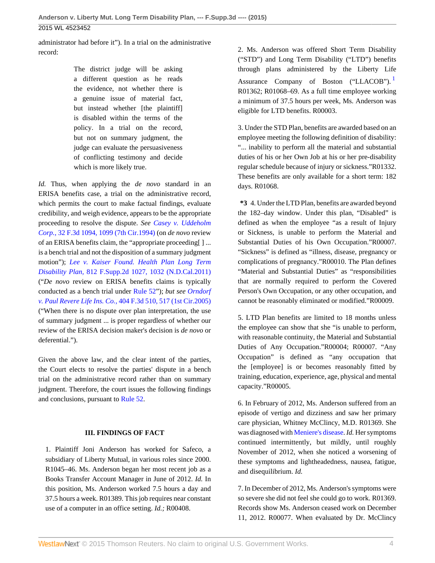### 2015 WL 4523452

administrator had before it"). In a trial on the administrative record:

> The district judge will be asking a different question as he reads the evidence, not whether there is a genuine issue of material fact, but instead whether [the plaintiff] is disabled within the terms of the policy. In a trial on the record, but not on summary judgment, the judge can evaluate the persuasiveness of conflicting testimony and decide which is more likely true.

*Id.* Thus, when applying the *de novo* standard in an ERISA benefits case, a trial on the administrative record, which permits the court to make factual findings, evaluate credibility, and weigh evidence, appears to be the appropriate proceeding to resolve the dispute. *See [Casey v. Uddeholm](http://www.westlaw.com/Link/Document/FullText?findType=Y&serNum=1994168382&pubNum=0000506&originatingDoc=I5f3227e6352611e5b4bafa136b480ad2&refType=RP&fi=co_pp_sp_506_1099&originationContext=document&vr=3.0&rs=cblt1.0&transitionType=DocumentItem&contextData=(sc.UserEnteredCitation)#co_pp_sp_506_1099) Corp.,* [32 F.3d 1094, 1099 \(7th Cir.1994\)](http://www.westlaw.com/Link/Document/FullText?findType=Y&serNum=1994168382&pubNum=0000506&originatingDoc=I5f3227e6352611e5b4bafa136b480ad2&refType=RP&fi=co_pp_sp_506_1099&originationContext=document&vr=3.0&rs=cblt1.0&transitionType=DocumentItem&contextData=(sc.UserEnteredCitation)#co_pp_sp_506_1099) (on *de novo* review of an ERISA benefits claim, the "appropriate proceeding[ ] ... is a bench trial and not the disposition of a summary judgment motion"); *[Lee v. Kaiser Found. Health Plan Long Term](http://www.westlaw.com/Link/Document/FullText?findType=Y&serNum=2026213006&pubNum=0004637&originatingDoc=I5f3227e6352611e5b4bafa136b480ad2&refType=RP&fi=co_pp_sp_4637_1032&originationContext=document&vr=3.0&rs=cblt1.0&transitionType=DocumentItem&contextData=(sc.UserEnteredCitation)#co_pp_sp_4637_1032) Disability Plan,* [812 F.Supp.2d 1027, 1032 \(N.D.Cal.2011\)](http://www.westlaw.com/Link/Document/FullText?findType=Y&serNum=2026213006&pubNum=0004637&originatingDoc=I5f3227e6352611e5b4bafa136b480ad2&refType=RP&fi=co_pp_sp_4637_1032&originationContext=document&vr=3.0&rs=cblt1.0&transitionType=DocumentItem&contextData=(sc.UserEnteredCitation)#co_pp_sp_4637_1032) ("*De novo* review on ERISA benefits claims is typically conducted as a bench trial under [Rule 52"](http://www.westlaw.com/Link/Document/FullText?findType=L&pubNum=1000600&cite=USFRCPR52&originatingDoc=I5f3227e6352611e5b4bafa136b480ad2&refType=LQ&originationContext=document&vr=3.0&rs=cblt1.0&transitionType=DocumentItem&contextData=(sc.UserEnteredCitation))); *but see [Orndorf](http://www.westlaw.com/Link/Document/FullText?findType=Y&serNum=2006469947&pubNum=0000506&originatingDoc=I5f3227e6352611e5b4bafa136b480ad2&refType=RP&fi=co_pp_sp_506_517&originationContext=document&vr=3.0&rs=cblt1.0&transitionType=DocumentItem&contextData=(sc.UserEnteredCitation)#co_pp_sp_506_517) v. Paul Revere Life Ins. Co.,* [404 F.3d 510, 517 \(1st Cir.2005\)](http://www.westlaw.com/Link/Document/FullText?findType=Y&serNum=2006469947&pubNum=0000506&originatingDoc=I5f3227e6352611e5b4bafa136b480ad2&refType=RP&fi=co_pp_sp_506_517&originationContext=document&vr=3.0&rs=cblt1.0&transitionType=DocumentItem&contextData=(sc.UserEnteredCitation)#co_pp_sp_506_517) ("When there is no dispute over plan interpretation, the use of summary judgment ... is proper regardless of whether our review of the ERISA decision maker's decision is *de novo* or deferential.").

Given the above law, and the clear intent of the parties, the Court elects to resolve the parties' dispute in a bench trial on the administrative record rather than on summary judgment. Therefore, the court issues the following findings and conclusions, pursuant to [Rule 52.](http://www.westlaw.com/Link/Document/FullText?findType=L&pubNum=1000600&cite=USFRCPR52&originatingDoc=I5f3227e6352611e5b4bafa136b480ad2&refType=LQ&originationContext=document&vr=3.0&rs=cblt1.0&transitionType=DocumentItem&contextData=(sc.UserEnteredCitation))

### **III. FINDINGS OF FACT**

1. Plaintiff Joni Anderson has worked for Safeco, a subsidiary of Liberty Mutual, in various roles since 2000. R1045–46. Ms. Anderson began her most recent job as a Books Transfer Account Manager in June of 2012. *Id.* In this position, Ms. Anderson worked 7.5 hours a day and 37.5 hours a week. R01389. This job requires near constant use of a computer in an office setting. *Id.;* R00408.

<span id="page-3-0"></span>2. Ms. Anderson was offered Short Term Disability ("STD") and Long Term Disability ("LTD") benefits through plans administered by the Liberty Life Assurance Company of Boston ("LLACOB"). R01362; R01068–69. As a full time employee working a minimum of 37.5 hours per week, Ms. Anderson was eligible for LTD benefits. R00003.

3. Under the STD Plan, benefits are awarded based on an employee meeting the following definition of disability: "... inability to perform all the material and substantial duties of his or her Own Job at his or her pre-disability regular schedule because of injury or sickness."R01332. These benefits are only available for a short term: 182 days. R01068.

**\*3** 4. Under the LTD Plan, benefits are awarded beyond the 182–day window. Under this plan, "Disabled" is defined as when the employee "as a result of Injury or Sickness, is unable to perform the Material and Substantial Duties of his Own Occupation."R00007. "Sickness" is defined as "illness, disease, pregnancy or complications of pregnancy."R00010. The Plan defines "Material and Substantial Duties" as "responsibilities that are normally required to perform the Covered Person's Own Occupation, or any other occupation, and cannot be reasonably eliminated or modified."R00009.

5. LTD Plan benefits are limited to 18 months unless the employee can show that she "is unable to perform, with reasonable continuity, the Material and Substantial Duties of Any Occupation."R00004; R00007. "Any Occupation" is defined as "any occupation that the [employee] is or becomes reasonably fitted by training, education, experience, age, physical and mental capacity."R00005.

6. In February of 2012, Ms. Anderson suffered from an episode of vertigo and dizziness and saw her primary care physician, Whitney McClincy, M.D. R01369. She was diagnosed with [Meniere's disease.](http://www.westlaw.com/Link/Document/FullText?entityType=disease&entityId=Ic5398e0c475411db9765f9243f53508a&originationContext=document&transitionType=DocumentItem&contextData=(sc.Default)&vr=3.0&rs=cblt1.0) *Id.* Her symptoms continued intermittently, but mildly, until roughly November of 2012, when she noticed a worsening of these symptoms and lightheadedness, nausea, fatigue, and disequilibrium. *Id.*

7. In December of 2012, Ms. Anderson's symptoms were so severe she did not feel she could go to work. R01369. Records show Ms. Anderson ceased work on December 11, 2012. R00077. When evaluated by Dr. McClincy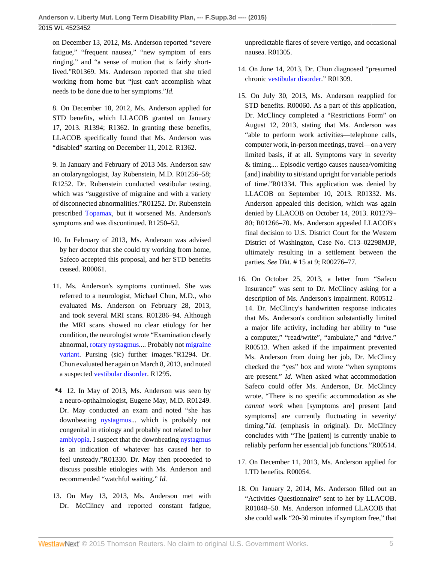on December 13, 2012, Ms. Anderson reported "severe fatigue," "frequent nausea," "new symptom of ears ringing," and "a sense of motion that is fairly shortlived."R01369. Ms. Anderson reported that she tried working from home but "just can't accomplish what needs to be done due to her symptoms."*Id.*

8. On December 18, 2012, Ms. Anderson applied for STD benefits, which LLACOB granted on January 17, 2013. R1394; R1362. In granting these benefits, LLACOB specifically found that Ms. Anderson was "disabled" starting on December 11, 2012. R1362.

9. In January and February of 2013 Ms. Anderson saw an otolaryngologist, Jay Rubenstein, M.D. R01256–58; R1252. Dr. Rubenstein conducted vestibular testing, which was "suggestive of migraine and with a variety of disconnected abnormalities."R01252. Dr. Rubenstein prescribed [Topamax,](http://www.westlaw.com/Link/Document/FullText?entityType=bdrug&entityId=I3707c230475111db9765f9243f53508a&originationContext=document&transitionType=DocumentItem&contextData=(sc.Default)&vr=3.0&rs=cblt1.0) but it worsened Ms. Anderson's symptoms and was discontinued. R1250–52.

- 10. In February of 2013, Ms. Anderson was advised by her doctor that she could try working from home, Safeco accepted this proposal, and her STD benefits ceased. R00061.
- 11. Ms. Anderson's symptoms continued. She was referred to a neurologist, Michael Chun, M.D., who evaluated Ms. Anderson on February 28, 2013, and took several MRI scans. R01286–94. Although the MRI scans showed no clear etiology for her condition, the neurologist wrote "Examination clearly abnormal, [rotary nystagmus.](http://www.westlaw.com/Link/Document/FullText?entityType=disease&entityId=Ic33f936d475411db9765f9243f53508a&originationContext=document&transitionType=DocumentItem&contextData=(sc.Default)&vr=3.0&rs=cblt1.0)... Probably not [migraine](http://www.westlaw.com/Link/Document/FullText?entityType=disease&entityId=Ib2d2407a475411db9765f9243f53508a&originationContext=document&transitionType=DocumentItem&contextData=(sc.Default)&vr=3.0&rs=cblt1.0) [variant.](http://www.westlaw.com/Link/Document/FullText?entityType=disease&entityId=Ib2d2407a475411db9765f9243f53508a&originationContext=document&transitionType=DocumentItem&contextData=(sc.Default)&vr=3.0&rs=cblt1.0) Pursing (sic) further images."R1294. Dr. Chun evaluated her again on March 8, 2013, and noted a suspected [vestibular disorder](http://www.westlaw.com/Link/Document/FullText?entityType=disease&entityId=Ib8106a84475411db9765f9243f53508a&originationContext=document&transitionType=DocumentItem&contextData=(sc.Default)&vr=3.0&rs=cblt1.0). R1295.
- **\*4** 12. In May of 2013, Ms. Anderson was seen by a neuro-opthalmologist, Eugene May, M.D. R01249. Dr. May conducted an exam and noted "she has downbeating [nystagmus.](http://www.westlaw.com/Link/Document/FullText?entityType=disease&entityId=Iaeee0127475411db9765f9243f53508a&originationContext=document&transitionType=DocumentItem&contextData=(sc.Default)&vr=3.0&rs=cblt1.0).. which is probably not congenital in etiology and probably not related to her [amblyopia](http://www.westlaw.com/Link/Document/FullText?entityType=disease&entityId=Ibe733d9d475411db9765f9243f53508a&originationContext=document&transitionType=DocumentItem&contextData=(sc.Default)&vr=3.0&rs=cblt1.0). I suspect that the downbeating [nystagmus](http://www.westlaw.com/Link/Document/FullText?entityType=disease&entityId=Iaeee0127475411db9765f9243f53508a&originationContext=document&transitionType=DocumentItem&contextData=(sc.Default)&vr=3.0&rs=cblt1.0) is an indication of whatever has caused her to feel unsteady."R01330. Dr. May then proceeded to discuss possible etiologies with Ms. Anderson and recommended "watchful waiting." *Id.*
- 13. On May 13, 2013, Ms. Anderson met with Dr. McClincy and reported constant fatigue,

unpredictable flares of severe vertigo, and occasional nausea. R01305.

- 14. On June 14, 2013, Dr. Chun diagnosed "presumed chronic [vestibular disorder](http://www.westlaw.com/Link/Document/FullText?entityType=disease&entityId=Ib8106a84475411db9765f9243f53508a&originationContext=document&transitionType=DocumentItem&contextData=(sc.Default)&vr=3.0&rs=cblt1.0)." R01309.
- 15. On July 30, 2013, Ms. Anderson reapplied for STD benefits. R00060. As a part of this application, Dr. McClincy completed a "Restrictions Form" on August 12, 2013, stating that Ms. Anderson was "able to perform work activities—telephone calls, computer work, in-person meetings, travel—on a very limited basis, if at all. Symptoms vary in severity & timing.... Episodic vertigo causes nausea/vomiting [and] inability to sit/stand upright for variable periods of time."R01334. This application was denied by LLACOB on September 10, 2013. R01332. Ms. Anderson appealed this decision, which was again denied by LLACOB on October 14, 2013. R01279– 80; R01266–70. Ms. Anderson appealed LLACOB's final decision to U.S. District Court for the Western District of Washington, Case No. C13–02298MJP, ultimately resulting in a settlement between the parties. *See* Dkt. # 15 at 9; R00276–77.
- 16. On October 25, 2013, a letter from "Safeco Insurance" was sent to Dr. McClincy asking for a description of Ms. Anderson's impairment. R00512– 14. Dr. McClincy's handwritten response indicates that Ms. Anderson's condition substantially limited a major life activity, including her ability to "use a computer," "read/write", "ambulate," and "drive." R00513. When asked if the impairment prevented Ms. Anderson from doing her job, Dr. McClincy checked the "yes" box and wrote "when symptoms are present." *Id.* When asked what accommodation Safeco could offer Ms. Anderson, Dr. McClincy wrote, "There is no specific accommodation as she *cannot work* when [symptoms are] present [and symptoms] are currently fluctuating in severity/ timing."*Id.* (emphasis in original). Dr. McClincy concludes with "The [patient] is currently unable to reliably perform her essential job functions."R00514.
- 17. On December 11, 2013, Ms. Anderson applied for LTD benefits. R00054.
- 18. On January 2, 2014, Ms. Anderson filled out an "Activities Questionnaire" sent to her by LLACOB. R01048–50. Ms. Anderson informed LLACOB that she could walk "20-30 minutes if symptom free," that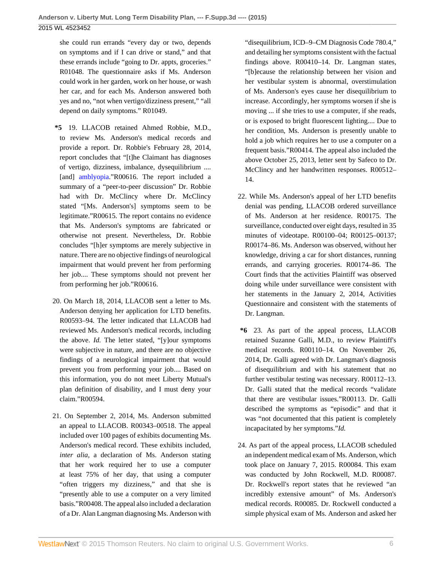she could run errands "every day or two, depends on symptoms and if I can drive or stand," and that these errands include "going to Dr. appts, groceries." R01048. The questionnaire asks if Ms. Anderson could work in her garden, work on her house, or wash her car, and for each Ms. Anderson answered both yes and no, "not when vertigo/dizziness present," "all depend on daily symptoms." R01049.

- **\*5** 19. LLACOB retained Ahmed Robbie, M.D., to review Ms. Anderson's medical records and provide a report. Dr. Robbie's February 28, 2014, report concludes that "[t]he Claimant has diagnoses of vertigo, dizziness, imbalance, dysequilibrium .... [and] [amblyopia](http://www.westlaw.com/Link/Document/FullText?entityType=disease&entityId=Ibe733d9d475411db9765f9243f53508a&originationContext=document&transitionType=DocumentItem&contextData=(sc.Default)&vr=3.0&rs=cblt1.0)."R00616. The report included a summary of a "peer-to-peer discussion" Dr. Robbie had with Dr. McClincy where Dr. McClincy stated "[Ms. Anderson's] symptoms seem to be legitimate."R00615. The report contains no evidence that Ms. Anderson's symptoms are fabricated or otherwise not present. Nevertheless, Dr. Robbie concludes "[h]er symptoms are merely subjective in nature. There are no objective findings of neurological impairment that would prevent her from performing her job.... These symptoms should not prevent her from performing her job."R00616.
- 20. On March 18, 2014, LLACOB sent a letter to Ms. Anderson denying her application for LTD benefits. R00593–94. The letter indicated that LLACOB had reviewed Ms. Anderson's medical records, including the above. *Id.* The letter stated, "[y]our symptoms were subjective in nature, and there are no objective findings of a neurological impairment that would prevent you from performing your job.... Based on this information, you do not meet Liberty Mutual's plan definition of disability, and I must deny your claim."R00594.
- 21. On September 2, 2014, Ms. Anderson submitted an appeal to LLACOB. R00343–00518. The appeal included over 100 pages of exhibits documenting Ms. Anderson's medical record. These exhibits included, *inter alia,* a declaration of Ms. Anderson stating that her work required her to use a computer at least 75% of her day, that using a computer "often triggers my dizziness," and that she is "presently able to use a computer on a very limited basis."R00408. The appeal also included a declaration of a Dr. Alan Langman diagnosing Ms. Anderson with

"disequilibrium, ICD–9–CM Diagnosis Code 780.4," and detailing her symptoms consistent with the factual findings above. R00410–14. Dr. Langman states, "[b]ecause the relationship between her vision and her vestibular system is abnormal, overstimulation of Ms. Anderson's eyes cause her disequilibrium to increase. Accordingly, her symptoms worsen if she is moving ... if she tries to use a computer, if she reads, or is exposed to bright fluorescent lighting.... Due to her condition, Ms. Anderson is presently unable to hold a job which requires her to use a computer on a frequent basis."R00414. The appeal also included the above October 25, 2013, letter sent by Safeco to Dr. McClincy and her handwritten responses. R00512– 14.

- 22. While Ms. Anderson's appeal of her LTD benefits denial was pending, LLACOB ordered surveillance of Ms. Anderson at her residence. R00175. The surveillance, conducted over eight days, resulted in 35 minutes of videotape. R00100–04; R00125–00137; R00174–86. Ms. Anderson was observed, without her knowledge, driving a car for short distances, running errands, and carrying groceries. R00174–86. The Court finds that the activities Plaintiff was observed doing while under surveillance were consistent with her statements in the January 2, 2014, Activities Questionnaire and consistent with the statements of Dr. Langman.
- **\*6** 23. As part of the appeal process, LLACOB retained Suzanne Galli, M.D., to review Plaintiff's medical records. R00110–14. On November 26, 2014, Dr. Galli agreed with Dr. Langman's diagnosis of disequilibrium and with his statement that no further vestibular testing was necessary. R00112–13. Dr. Galli stated that the medical records "validate that there are vestibular issues."R00113. Dr. Galli described the symptoms as "episodic" and that it was "not documented that this patient is completely incapacitated by her symptoms."*Id.*
- 24. As part of the appeal process, LLACOB scheduled an independent medical exam of Ms. Anderson, which took place on January 7, 2015. R00084. This exam was conducted by John Rockwell, M.D. R00087. Dr. Rockwell's report states that he reviewed "an incredibly extensive amount" of Ms. Anderson's medical records. R00085. Dr. Rockwell conducted a simple physical exam of Ms. Anderson and asked her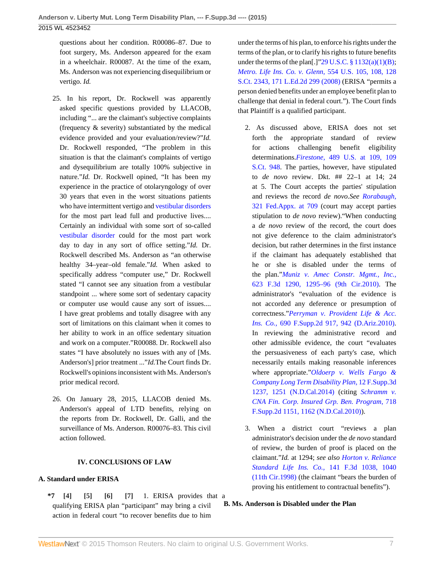questions about her condition. R00086–87. Due to foot surgery, Ms. Anderson appeared for the exam in a wheelchair. R00087. At the time of the exam, Ms. Anderson was not experiencing disequilibrium or vertigo. *Id.*

- 25. In his report, Dr. Rockwell was apparently asked specific questions provided by LLACOB, including "... are the claimant's subjective complaints (frequency & severity) substantiated by the medical evidence provided and your evaluation/review?"*Id.* Dr. Rockwell responded, "The problem in this situation is that the claimant's complaints of vertigo and dysequilibrium are totally 100% subjective in nature."*Id.* Dr. Rockwell opined, "It has been my experience in the practice of otolaryngology of over 30 years that even in the worst situations patients who have intermittent vertigo and [vestibular disorders](http://www.westlaw.com/Link/Document/FullText?entityType=disease&entityId=Ib8106a84475411db9765f9243f53508a&originationContext=document&transitionType=DocumentItem&contextData=(sc.Default)&vr=3.0&rs=cblt1.0) for the most part lead full and productive lives.... Certainly an individual with some sort of so-called [vestibular disorder](http://www.westlaw.com/Link/Document/FullText?entityType=disease&entityId=Ib8106a84475411db9765f9243f53508a&originationContext=document&transitionType=DocumentItem&contextData=(sc.Default)&vr=3.0&rs=cblt1.0) could for the most part work day to day in any sort of office setting."*Id.* Dr. Rockwell described Ms. Anderson as "an otherwise healthy 34–year–old female."*Id.* When asked to specifically address "computer use," Dr. Rockwell stated "I cannot see any situation from a vestibular standpoint ... where some sort of sedentary capacity or computer use would cause any sort of issues.... I have great problems and totally disagree with any sort of limitations on this claimant when it comes to her ability to work in an office sedentary situation and work on a computer."R00088. Dr. Rockwell also states "I have absolutely no issues with any of [Ms. Anderson's] prior treatment ..."*Id.*The Court finds Dr. Rockwell's opinions inconsistent with Ms. Anderson's prior medical record.
- 26. On January 28, 2015, LLACOB denied Ms. Anderson's appeal of LTD benefits, relying on the reports from Dr. Rockwell, Dr. Galli, and the surveillance of Ms. Anderson. R00076–83. This civil action followed.

### <span id="page-6-3"></span><span id="page-6-2"></span><span id="page-6-1"></span>**IV. CONCLUSIONS OF LAW**

### **A. Standard under ERISA**

<span id="page-6-0"></span>**\*7 [\[4\]](#page-0-3) [\[5\]](#page-1-2) [\[6\]](#page-1-3) [\[7\]](#page-1-4)** 1. ERISA provides that a qualifying ERISA plan "participant" may bring a civil action in federal court "to recover benefits due to him

under the terms of his plan, to enforce his rights under the terms of the plan, or to clarify his rights to future benefits under the terms of the plan[.]" $29$  U.S.C.  $\S 1132(a)(1)(B)$ ; *[Metro. Life Ins. Co. v. Glenn,](http://www.westlaw.com/Link/Document/FullText?findType=Y&serNum=2016336257&pubNum=0000708&originatingDoc=I5f3227e6352611e5b4bafa136b480ad2&refType=RP&originationContext=document&vr=3.0&rs=cblt1.0&transitionType=DocumentItem&contextData=(sc.UserEnteredCitation))* 554 U.S. 105, 108, 128 [S.Ct. 2343, 171 L.Ed.2d 299 \(2008\)](http://www.westlaw.com/Link/Document/FullText?findType=Y&serNum=2016336257&pubNum=0000708&originatingDoc=I5f3227e6352611e5b4bafa136b480ad2&refType=RP&originationContext=document&vr=3.0&rs=cblt1.0&transitionType=DocumentItem&contextData=(sc.UserEnteredCitation)) (ERISA "permits a person denied benefits under an employee benefit plan to challenge that denial in federal court."). The Court finds that Plaintiff is a qualified participant.

- 2. As discussed above, ERISA does not set forth the appropriate standard of review for actions challenging benefit eligibility determinations.*Firestone,* [489 U.S. at 109, 109](http://www.westlaw.com/Link/Document/FullText?findType=Y&serNum=1989026578&pubNum=0000708&originatingDoc=I5f3227e6352611e5b4bafa136b480ad2&refType=RP&originationContext=document&vr=3.0&rs=cblt1.0&transitionType=DocumentItem&contextData=(sc.UserEnteredCitation)) [S.Ct. 948](http://www.westlaw.com/Link/Document/FullText?findType=Y&serNum=1989026578&pubNum=0000708&originatingDoc=I5f3227e6352611e5b4bafa136b480ad2&refType=RP&originationContext=document&vr=3.0&rs=cblt1.0&transitionType=DocumentItem&contextData=(sc.UserEnteredCitation)). The parties, however, have stipulated to *de novo* review. Dkt. ## 22–1 at 14; 24 at 5. The Court accepts the parties' stipulation and reviews the record *de novo.See [Rorabaugh,](http://www.westlaw.com/Link/Document/FullText?findType=Y&serNum=2018588601&pubNum=0006538&originatingDoc=I5f3227e6352611e5b4bafa136b480ad2&refType=RP&fi=co_pp_sp_6538_709&originationContext=document&vr=3.0&rs=cblt1.0&transitionType=DocumentItem&contextData=(sc.UserEnteredCitation)#co_pp_sp_6538_709)* [321 Fed.Appx. at 709](http://www.westlaw.com/Link/Document/FullText?findType=Y&serNum=2018588601&pubNum=0006538&originatingDoc=I5f3227e6352611e5b4bafa136b480ad2&refType=RP&fi=co_pp_sp_6538_709&originationContext=document&vr=3.0&rs=cblt1.0&transitionType=DocumentItem&contextData=(sc.UserEnteredCitation)#co_pp_sp_6538_709) (court may accept parties stipulation to *de novo* review)."When conducting a *de novo* review of the record, the court does not give deference to the claim administrator's decision, but rather determines in the first instance if the claimant has adequately established that he or she is disabled under the terms of the plan."*[Muniz v. Amec Constr. Mgmt., Inc.,](http://www.westlaw.com/Link/Document/FullText?findType=Y&serNum=2023501190&pubNum=0000506&originatingDoc=I5f3227e6352611e5b4bafa136b480ad2&refType=RP&fi=co_pp_sp_506_1295&originationContext=document&vr=3.0&rs=cblt1.0&transitionType=DocumentItem&contextData=(sc.UserEnteredCitation)#co_pp_sp_506_1295)* [623 F.3d 1290, 1295–96 \(9th Cir.2010\)](http://www.westlaw.com/Link/Document/FullText?findType=Y&serNum=2023501190&pubNum=0000506&originatingDoc=I5f3227e6352611e5b4bafa136b480ad2&refType=RP&fi=co_pp_sp_506_1295&originationContext=document&vr=3.0&rs=cblt1.0&transitionType=DocumentItem&contextData=(sc.UserEnteredCitation)#co_pp_sp_506_1295). The administrator's "evaluation of the evidence is not accorded any deference or presumption of correctness."*[Perryman v. Provident Life & Acc.](http://www.westlaw.com/Link/Document/FullText?findType=Y&serNum=2021391747&pubNum=0004637&originatingDoc=I5f3227e6352611e5b4bafa136b480ad2&refType=RP&fi=co_pp_sp_4637_942&originationContext=document&vr=3.0&rs=cblt1.0&transitionType=DocumentItem&contextData=(sc.UserEnteredCitation)#co_pp_sp_4637_942) Ins. Co.,* [690 F.Supp.2d 917, 942 \(D.Ariz.2010\)](http://www.westlaw.com/Link/Document/FullText?findType=Y&serNum=2021391747&pubNum=0004637&originatingDoc=I5f3227e6352611e5b4bafa136b480ad2&refType=RP&fi=co_pp_sp_4637_942&originationContext=document&vr=3.0&rs=cblt1.0&transitionType=DocumentItem&contextData=(sc.UserEnteredCitation)#co_pp_sp_4637_942). In reviewing the administrative record and other admissible evidence, the court "evaluates the persuasiveness of each party's case, which necessarily entails making reasonable inferences where appropriate."*[Oldoerp v. Wells Fargo &](http://www.westlaw.com/Link/Document/FullText?findType=Y&serNum=2032613026&pubNum=0007903&originatingDoc=I5f3227e6352611e5b4bafa136b480ad2&refType=RP&fi=co_pp_sp_7903_1251&originationContext=document&vr=3.0&rs=cblt1.0&transitionType=DocumentItem&contextData=(sc.UserEnteredCitation)#co_pp_sp_7903_1251) [Company Long Term Disability Plan,](http://www.westlaw.com/Link/Document/FullText?findType=Y&serNum=2032613026&pubNum=0007903&originatingDoc=I5f3227e6352611e5b4bafa136b480ad2&refType=RP&fi=co_pp_sp_7903_1251&originationContext=document&vr=3.0&rs=cblt1.0&transitionType=DocumentItem&contextData=(sc.UserEnteredCitation)#co_pp_sp_7903_1251)* 12 F.Supp.3d [1237, 1251 \(N.D.Cal.2014\)](http://www.westlaw.com/Link/Document/FullText?findType=Y&serNum=2032613026&pubNum=0007903&originatingDoc=I5f3227e6352611e5b4bafa136b480ad2&refType=RP&fi=co_pp_sp_7903_1251&originationContext=document&vr=3.0&rs=cblt1.0&transitionType=DocumentItem&contextData=(sc.UserEnteredCitation)#co_pp_sp_7903_1251) (citing *[Schramm v.](http://www.westlaw.com/Link/Document/FullText?findType=Y&serNum=2022333994&pubNum=0004637&originatingDoc=I5f3227e6352611e5b4bafa136b480ad2&refType=RP&fi=co_pp_sp_4637_1162&originationContext=document&vr=3.0&rs=cblt1.0&transitionType=DocumentItem&contextData=(sc.UserEnteredCitation)#co_pp_sp_4637_1162) [CNA Fin. Corp. Insured Grp. Ben. Program,](http://www.westlaw.com/Link/Document/FullText?findType=Y&serNum=2022333994&pubNum=0004637&originatingDoc=I5f3227e6352611e5b4bafa136b480ad2&refType=RP&fi=co_pp_sp_4637_1162&originationContext=document&vr=3.0&rs=cblt1.0&transitionType=DocumentItem&contextData=(sc.UserEnteredCitation)#co_pp_sp_4637_1162)* 718 [F.Supp.2d 1151, 1162 \(N.D.Cal.2010\)\)](http://www.westlaw.com/Link/Document/FullText?findType=Y&serNum=2022333994&pubNum=0004637&originatingDoc=I5f3227e6352611e5b4bafa136b480ad2&refType=RP&fi=co_pp_sp_4637_1162&originationContext=document&vr=3.0&rs=cblt1.0&transitionType=DocumentItem&contextData=(sc.UserEnteredCitation)#co_pp_sp_4637_1162).
- 3. When a district court "reviews a plan administrator's decision under the *de novo* standard of review, the burden of proof is placed on the claimant."*Id.* at 1294; *see also [Horton v. Reliance](http://www.westlaw.com/Link/Document/FullText?findType=Y&serNum=1998111408&pubNum=0000506&originatingDoc=I5f3227e6352611e5b4bafa136b480ad2&refType=RP&fi=co_pp_sp_506_1040&originationContext=document&vr=3.0&rs=cblt1.0&transitionType=DocumentItem&contextData=(sc.UserEnteredCitation)#co_pp_sp_506_1040) [Standard Life Ins. Co.,](http://www.westlaw.com/Link/Document/FullText?findType=Y&serNum=1998111408&pubNum=0000506&originatingDoc=I5f3227e6352611e5b4bafa136b480ad2&refType=RP&fi=co_pp_sp_506_1040&originationContext=document&vr=3.0&rs=cblt1.0&transitionType=DocumentItem&contextData=(sc.UserEnteredCitation)#co_pp_sp_506_1040)* 141 F.3d 1038, 1040 [\(11th Cir.1998\)](http://www.westlaw.com/Link/Document/FullText?findType=Y&serNum=1998111408&pubNum=0000506&originatingDoc=I5f3227e6352611e5b4bafa136b480ad2&refType=RP&fi=co_pp_sp_506_1040&originationContext=document&vr=3.0&rs=cblt1.0&transitionType=DocumentItem&contextData=(sc.UserEnteredCitation)#co_pp_sp_506_1040) (the claimant "bears the burden of proving his entitlement to contractual benefits").

### **B. Ms. Anderson is Disabled under the Plan**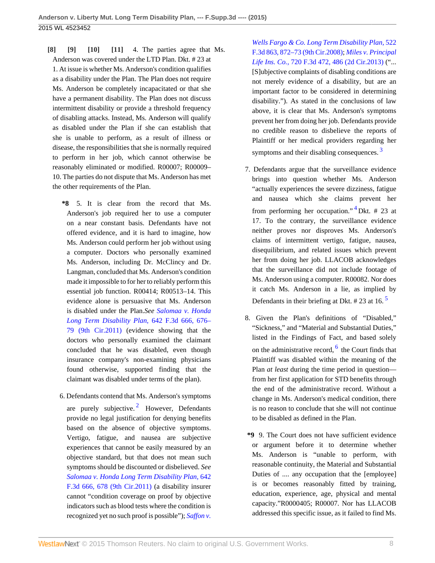<span id="page-7-3"></span><span id="page-7-2"></span><span id="page-7-1"></span><span id="page-7-0"></span>**[\[8\]](#page-1-0) [\[9\]](#page-1-1) [\[10\]](#page-1-5) [\[11\]](#page-2-3)** 4. The parties agree that Ms. Anderson was covered under the LTD Plan. Dkt. # 23 at 1. At issue is whether Ms. Anderson's condition qualifies as a disability under the Plan. The Plan does not require Ms. Anderson be completely incapacitated or that she have a permanent disability. The Plan does not discuss intermittent disability or provide a threshold frequency of disabling attacks. Instead, Ms. Anderson will qualify as disabled under the Plan if she can establish that she is unable to perform, as a result of illness or disease, the responsibilities that she is normally required to perform in her job, which cannot otherwise be reasonably eliminated or modified. R00007; R00009– 10. The parties do not dispute that Ms. Anderson has met the other requirements of the Plan.

**\*8** 5. It is clear from the record that Ms. Anderson's job required her to use a computer on a near constant basis. Defendants have not offered evidence, and it is hard to imagine, how Ms. Anderson could perform her job without using a computer. Doctors who personally examined Ms. Anderson, including Dr. McClincy and Dr. Langman, concluded that Ms. Anderson's condition made it impossible to for her to reliably perform this essential job function. R00414; R00513–14. This evidence alone is persuasive that Ms. Anderson is disabled under the Plan.*See [Salomaa v. Honda](http://www.westlaw.com/Link/Document/FullText?findType=Y&serNum=2025355366&pubNum=0000506&originatingDoc=I5f3227e6352611e5b4bafa136b480ad2&refType=RP&fi=co_pp_sp_506_676&originationContext=document&vr=3.0&rs=cblt1.0&transitionType=DocumentItem&contextData=(sc.UserEnteredCitation)#co_pp_sp_506_676) [Long Term Disability Plan,](http://www.westlaw.com/Link/Document/FullText?findType=Y&serNum=2025355366&pubNum=0000506&originatingDoc=I5f3227e6352611e5b4bafa136b480ad2&refType=RP&fi=co_pp_sp_506_676&originationContext=document&vr=3.0&rs=cblt1.0&transitionType=DocumentItem&contextData=(sc.UserEnteredCitation)#co_pp_sp_506_676)* 642 F.3d 666, 676– [79 \(9th Cir.2011\)](http://www.westlaw.com/Link/Document/FullText?findType=Y&serNum=2025355366&pubNum=0000506&originatingDoc=I5f3227e6352611e5b4bafa136b480ad2&refType=RP&fi=co_pp_sp_506_676&originationContext=document&vr=3.0&rs=cblt1.0&transitionType=DocumentItem&contextData=(sc.UserEnteredCitation)#co_pp_sp_506_676) (evidence showing that the doctors who personally examined the claimant concluded that he was disabled, even though insurance company's non-examining physicians found otherwise, supported finding that the claimant was disabled under terms of the plan).

<span id="page-7-4"></span>6. Defendants contend that Ms. Anderson's symptoms are purely subjective.<sup>[2](#page-8-1)</sup> However, Defendants provide no legal justification for denying benefits based on the absence of objective symptoms. Vertigo, fatigue, and nausea are subjective experiences that cannot be easily measured by an objective standard, but that does not mean such symptoms should be discounted or disbelieved. *See [Salomaa v. Honda Long Term Disability Plan,](http://www.westlaw.com/Link/Document/FullText?findType=Y&serNum=2025355366&pubNum=0000506&originatingDoc=I5f3227e6352611e5b4bafa136b480ad2&refType=RP&fi=co_pp_sp_506_678&originationContext=document&vr=3.0&rs=cblt1.0&transitionType=DocumentItem&contextData=(sc.UserEnteredCitation)#co_pp_sp_506_678)* 642 [F.3d 666, 678 \(9th Cir.2011\)](http://www.westlaw.com/Link/Document/FullText?findType=Y&serNum=2025355366&pubNum=0000506&originatingDoc=I5f3227e6352611e5b4bafa136b480ad2&refType=RP&fi=co_pp_sp_506_678&originationContext=document&vr=3.0&rs=cblt1.0&transitionType=DocumentItem&contextData=(sc.UserEnteredCitation)#co_pp_sp_506_678) (a disability insurer cannot "condition coverage on proof by objective indicators such as blood tests where the condition is recognized yet no such proof is possible"); *[Saffon v.](http://www.westlaw.com/Link/Document/FullText?findType=Y&serNum=2015801487&pubNum=0000506&originatingDoc=I5f3227e6352611e5b4bafa136b480ad2&refType=RP&fi=co_pp_sp_506_872&originationContext=document&vr=3.0&rs=cblt1.0&transitionType=DocumentItem&contextData=(sc.UserEnteredCitation)#co_pp_sp_506_872)* *[Wells Fargo & Co. Long Term Disability Plan,](http://www.westlaw.com/Link/Document/FullText?findType=Y&serNum=2015801487&pubNum=0000506&originatingDoc=I5f3227e6352611e5b4bafa136b480ad2&refType=RP&fi=co_pp_sp_506_872&originationContext=document&vr=3.0&rs=cblt1.0&transitionType=DocumentItem&contextData=(sc.UserEnteredCitation)#co_pp_sp_506_872)* 522 [F.3d 863, 872–73 \(9th Cir.2008\);](http://www.westlaw.com/Link/Document/FullText?findType=Y&serNum=2015801487&pubNum=0000506&originatingDoc=I5f3227e6352611e5b4bafa136b480ad2&refType=RP&fi=co_pp_sp_506_872&originationContext=document&vr=3.0&rs=cblt1.0&transitionType=DocumentItem&contextData=(sc.UserEnteredCitation)#co_pp_sp_506_872) *[Miles v. Principal](http://www.westlaw.com/Link/Document/FullText?findType=Y&serNum=2030869396&pubNum=0000506&originatingDoc=I5f3227e6352611e5b4bafa136b480ad2&refType=RP&fi=co_pp_sp_506_486&originationContext=document&vr=3.0&rs=cblt1.0&transitionType=DocumentItem&contextData=(sc.UserEnteredCitation)#co_pp_sp_506_486) Life Ins. Co.,* [720 F.3d 472, 486 \(2d Cir.2013\)](http://www.westlaw.com/Link/Document/FullText?findType=Y&serNum=2030869396&pubNum=0000506&originatingDoc=I5f3227e6352611e5b4bafa136b480ad2&refType=RP&fi=co_pp_sp_506_486&originationContext=document&vr=3.0&rs=cblt1.0&transitionType=DocumentItem&contextData=(sc.UserEnteredCitation)#co_pp_sp_506_486) ("... [S]ubjective complaints of disabling conditions are not merely evidence of a disability, but are an important factor to be considered in determining disability."). As stated in the conclusions of law above, it is clear that Ms. Anderson's symptoms prevent her from doing her job. Defendants provide no credible reason to disbelieve the reports of Plaintiff or her medical providers regarding her symptoms and their disabling consequences.<sup>[3](#page-8-2)</sup>

- <span id="page-7-6"></span><span id="page-7-5"></span>7. Defendants argue that the surveillance evidence brings into question whether Ms. Anderson "actually experiences the severe dizziness, fatigue and nausea which she claims prevent her from performing her occupation."<sup>[4](#page-8-3)</sup> Dkt. # 23 at 17. To the contrary, the surveillance evidence neither proves nor disproves Ms. Anderson's claims of intermittent vertigo, fatigue, nausea, disequilibrium, and related issues which prevent her from doing her job. LLACOB acknowledges that the surveillance did not include footage of Ms. Anderson using a computer. R00082. Nor does it catch Ms. Anderson in a lie, as implied by Defendants in their briefing at Dkt.  $\#$  23 at 16.<sup>[5](#page-9-0)</sup>
- <span id="page-7-8"></span><span id="page-7-7"></span>8. Given the Plan's definitions of "Disabled," "Sickness," and "Material and Substantial Duties," listed in the Findings of Fact, and based solely on the administrative record,  $6$  the Court finds that Plaintiff was disabled within the meaning of the Plan *at least* during the time period in question from her first application for STD benefits through the end of the administrative record. Without a change in Ms. Anderson's medical condition, there is no reason to conclude that she will not continue to be disabled as defined in the Plan.
- **\*9** 9. The Court does not have sufficient evidence or argument before it to determine whether Ms. Anderson is "unable to perform, with reasonable continuity, the Material and Substantial Duties of .... any occupation that the [employee] is or becomes reasonably fitted by training, education, experience, age, physical and mental capacity."R0000405; R00007. Nor has LLACOB addressed this specific issue, as it failed to find Ms.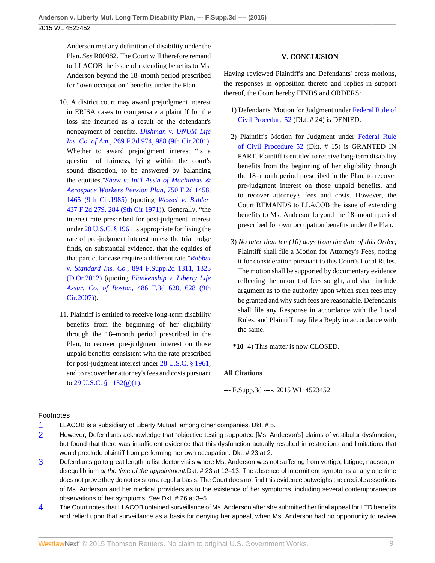Anderson met any definition of disability under the Plan. *See* R00082. The Court will therefore remand to LLACOB the issue of extending benefits to Ms. Anderson beyond the 18–month period prescribed for "own occupation" benefits under the Plan.

- 10. A district court may award prejudgment interest in ERISA cases to compensate a plaintiff for the loss she incurred as a result of the defendant's nonpayment of benefits. *[Dishman v. UNUM Life](http://www.westlaw.com/Link/Document/FullText?findType=Y&serNum=2001879912&pubNum=0000506&originatingDoc=I5f3227e6352611e5b4bafa136b480ad2&refType=RP&fi=co_pp_sp_506_988&originationContext=document&vr=3.0&rs=cblt1.0&transitionType=DocumentItem&contextData=(sc.UserEnteredCitation)#co_pp_sp_506_988) Ins. Co. of Am.,* [269 F.3d 974, 988 \(9th Cir.2001\)](http://www.westlaw.com/Link/Document/FullText?findType=Y&serNum=2001879912&pubNum=0000506&originatingDoc=I5f3227e6352611e5b4bafa136b480ad2&refType=RP&fi=co_pp_sp_506_988&originationContext=document&vr=3.0&rs=cblt1.0&transitionType=DocumentItem&contextData=(sc.UserEnteredCitation)#co_pp_sp_506_988). Whether to award prejudgment interest "is a question of fairness, lying within the court's sound discretion, to be answered by balancing the equities."*[Shaw v. Int'l Ass'n of Machinists &](http://www.westlaw.com/Link/Document/FullText?findType=Y&serNum=1985102034&pubNum=0000350&originatingDoc=I5f3227e6352611e5b4bafa136b480ad2&refType=RP&fi=co_pp_sp_350_1465&originationContext=document&vr=3.0&rs=cblt1.0&transitionType=DocumentItem&contextData=(sc.UserEnteredCitation)#co_pp_sp_350_1465) [Aerospace Workers Pension Plan,](http://www.westlaw.com/Link/Document/FullText?findType=Y&serNum=1985102034&pubNum=0000350&originatingDoc=I5f3227e6352611e5b4bafa136b480ad2&refType=RP&fi=co_pp_sp_350_1465&originationContext=document&vr=3.0&rs=cblt1.0&transitionType=DocumentItem&contextData=(sc.UserEnteredCitation)#co_pp_sp_350_1465)* 750 F.2d 1458, [1465 \(9th Cir.1985\)](http://www.westlaw.com/Link/Document/FullText?findType=Y&serNum=1985102034&pubNum=0000350&originatingDoc=I5f3227e6352611e5b4bafa136b480ad2&refType=RP&fi=co_pp_sp_350_1465&originationContext=document&vr=3.0&rs=cblt1.0&transitionType=DocumentItem&contextData=(sc.UserEnteredCitation)#co_pp_sp_350_1465) (quoting *[Wessel v. Buhler,](http://www.westlaw.com/Link/Document/FullText?findType=Y&serNum=1971108520&pubNum=0000350&originatingDoc=I5f3227e6352611e5b4bafa136b480ad2&refType=RP&fi=co_pp_sp_350_284&originationContext=document&vr=3.0&rs=cblt1.0&transitionType=DocumentItem&contextData=(sc.UserEnteredCitation)#co_pp_sp_350_284)* [437 F.2d 279, 284 \(9th Cir.1971\)](http://www.westlaw.com/Link/Document/FullText?findType=Y&serNum=1971108520&pubNum=0000350&originatingDoc=I5f3227e6352611e5b4bafa136b480ad2&refType=RP&fi=co_pp_sp_350_284&originationContext=document&vr=3.0&rs=cblt1.0&transitionType=DocumentItem&contextData=(sc.UserEnteredCitation)#co_pp_sp_350_284)). Generally, "the interest rate prescribed for post-judgment interest under [28 U.S.C. § 1961](http://www.westlaw.com/Link/Document/FullText?findType=L&pubNum=1000546&cite=28USCAS1961&originatingDoc=I5f3227e6352611e5b4bafa136b480ad2&refType=LQ&originationContext=document&vr=3.0&rs=cblt1.0&transitionType=DocumentItem&contextData=(sc.UserEnteredCitation)) is appropriate for fixing the rate of pre-judgment interest unless the trial judge finds, on substantial evidence, that the equities of that particular case require a different rate."*[Rabbat](http://www.westlaw.com/Link/Document/FullText?findType=Y&serNum=2028757653&pubNum=0004637&originatingDoc=I5f3227e6352611e5b4bafa136b480ad2&refType=RP&fi=co_pp_sp_4637_1323&originationContext=document&vr=3.0&rs=cblt1.0&transitionType=DocumentItem&contextData=(sc.UserEnteredCitation)#co_pp_sp_4637_1323) v. Standard Ins. Co.,* [894 F.Supp.2d 1311, 1323](http://www.westlaw.com/Link/Document/FullText?findType=Y&serNum=2028757653&pubNum=0004637&originatingDoc=I5f3227e6352611e5b4bafa136b480ad2&refType=RP&fi=co_pp_sp_4637_1323&originationContext=document&vr=3.0&rs=cblt1.0&transitionType=DocumentItem&contextData=(sc.UserEnteredCitation)#co_pp_sp_4637_1323) [\(D.Or.2012\)](http://www.westlaw.com/Link/Document/FullText?findType=Y&serNum=2028757653&pubNum=0004637&originatingDoc=I5f3227e6352611e5b4bafa136b480ad2&refType=RP&fi=co_pp_sp_4637_1323&originationContext=document&vr=3.0&rs=cblt1.0&transitionType=DocumentItem&contextData=(sc.UserEnteredCitation)#co_pp_sp_4637_1323) (quoting *[Blankenship v. Liberty Life](http://www.westlaw.com/Link/Document/FullText?findType=Y&serNum=2012282883&pubNum=0000506&originatingDoc=I5f3227e6352611e5b4bafa136b480ad2&refType=RP&fi=co_pp_sp_506_628&originationContext=document&vr=3.0&rs=cblt1.0&transitionType=DocumentItem&contextData=(sc.UserEnteredCitation)#co_pp_sp_506_628) Assur. Co. of Boston,* [486 F.3d 620, 628 \(9th](http://www.westlaw.com/Link/Document/FullText?findType=Y&serNum=2012282883&pubNum=0000506&originatingDoc=I5f3227e6352611e5b4bafa136b480ad2&refType=RP&fi=co_pp_sp_506_628&originationContext=document&vr=3.0&rs=cblt1.0&transitionType=DocumentItem&contextData=(sc.UserEnteredCitation)#co_pp_sp_506_628) [Cir.2007\)\)](http://www.westlaw.com/Link/Document/FullText?findType=Y&serNum=2012282883&pubNum=0000506&originatingDoc=I5f3227e6352611e5b4bafa136b480ad2&refType=RP&fi=co_pp_sp_506_628&originationContext=document&vr=3.0&rs=cblt1.0&transitionType=DocumentItem&contextData=(sc.UserEnteredCitation)#co_pp_sp_506_628).
- 11. Plaintiff is entitled to receive long-term disability benefits from the beginning of her eligibility through the 18–month period prescribed in the Plan, to recover pre-judgment interest on those unpaid benefits consistent with the rate prescribed for post-judgment interest under [28 U.S.C. § 1961,](http://www.westlaw.com/Link/Document/FullText?findType=L&pubNum=1000546&cite=28USCAS1961&originatingDoc=I5f3227e6352611e5b4bafa136b480ad2&refType=LQ&originationContext=document&vr=3.0&rs=cblt1.0&transitionType=DocumentItem&contextData=(sc.UserEnteredCitation)) and to recover her attorney's fees and costs pursuant to [29 U.S.C. § 1132\(g\)\(1\)](http://www.westlaw.com/Link/Document/FullText?findType=L&pubNum=1000546&cite=29USCAS1132&originatingDoc=I5f3227e6352611e5b4bafa136b480ad2&refType=LQ&originationContext=document&vr=3.0&rs=cblt1.0&transitionType=DocumentItem&contextData=(sc.UserEnteredCitation)).

### **V. CONCLUSION**

Having reviewed Plaintiff's and Defendants' cross motions, the responses in opposition thereto and replies in support thereof, the Court hereby FINDS and ORDERS:

- 1) Defendants' Motion for Judgment under [Federal Rule of](http://www.westlaw.com/Link/Document/FullText?findType=L&pubNum=1000600&cite=USFRCPR52&originatingDoc=I5f3227e6352611e5b4bafa136b480ad2&refType=LQ&originationContext=document&vr=3.0&rs=cblt1.0&transitionType=DocumentItem&contextData=(sc.UserEnteredCitation)) [Civil Procedure 52](http://www.westlaw.com/Link/Document/FullText?findType=L&pubNum=1000600&cite=USFRCPR52&originatingDoc=I5f3227e6352611e5b4bafa136b480ad2&refType=LQ&originationContext=document&vr=3.0&rs=cblt1.0&transitionType=DocumentItem&contextData=(sc.UserEnteredCitation)) (Dkt. # 24) is DENIED.
- 2) Plaintiff's Motion for Judgment under [Federal Rule](http://www.westlaw.com/Link/Document/FullText?findType=L&pubNum=1000600&cite=USFRCPR52&originatingDoc=I5f3227e6352611e5b4bafa136b480ad2&refType=LQ&originationContext=document&vr=3.0&rs=cblt1.0&transitionType=DocumentItem&contextData=(sc.UserEnteredCitation)) [of Civil Procedure 52](http://www.westlaw.com/Link/Document/FullText?findType=L&pubNum=1000600&cite=USFRCPR52&originatingDoc=I5f3227e6352611e5b4bafa136b480ad2&refType=LQ&originationContext=document&vr=3.0&rs=cblt1.0&transitionType=DocumentItem&contextData=(sc.UserEnteredCitation)) (Dkt. # 15) is GRANTED IN PART. Plaintiff is entitled to receive long-term disability benefits from the beginning of her eligibility through the 18–month period prescribed in the Plan, to recover pre-judgment interest on those unpaid benefits, and to recover attorney's fees and costs. However, the Court REMANDS to LLACOB the issue of extending benefits to Ms. Anderson beyond the 18–month period prescribed for own occupation benefits under the Plan.
- 3) *No later than ten (10) days from the date of this Order,* Plaintiff shall file a Motion for Attorney's Fees, noting it for consideration pursuant to this Court's Local Rules. The motion shall be supported by documentary evidence reflecting the amount of fees sought, and shall include argument as to the authority upon which such fees may be granted and why such fees are reasonable. Defendants shall file any Response in accordance with the Local Rules, and Plaintiff may file a Reply in accordance with the same.

**\*10** 4) This matter is now CLOSED.

### **All Citations**

--- F.Supp.3d ----, 2015 WL 4523452

### Footnotes

- <span id="page-8-0"></span>[1](#page-3-0) LLACOB is a subsidiary of Liberty Mutual, among other companies. Dkt. # 5.
- <span id="page-8-1"></span>[2](#page-7-4) However, Defendants acknowledge that "objective testing supported [Ms. Anderson's] claims of vestibular dysfunction, but found that there was insufficient evidence that this dysfunction actually resulted in restrictions and limitations that would preclude plaintiff from performing her own occupation."Dkt. # 23 at 2.
- <span id="page-8-2"></span>[3](#page-7-5) Defendants go to great length to list doctor visits where Ms. Anderson was not suffering from vertigo, fatigue, nausea, or disequilibrium at the time of the appointment. Dkt. #23 at 12–13. The absence of intermittent symptoms at any one time does not prove they do not exist on a regular basis. The Court does not find this evidence outweighs the credible assertions of Ms. Anderson and her medical providers as to the existence of her symptoms, including several contemporaneous observations of her symptoms. See Dkt. # 26 at 3–5.
- <span id="page-8-3"></span>[4](#page-7-6) The Court notes that LLACOB obtained surveillance of Ms. Anderson after she submitted her final appeal for LTD benefits and relied upon that surveillance as a basis for denying her appeal, when Ms. Anderson had no opportunity to review